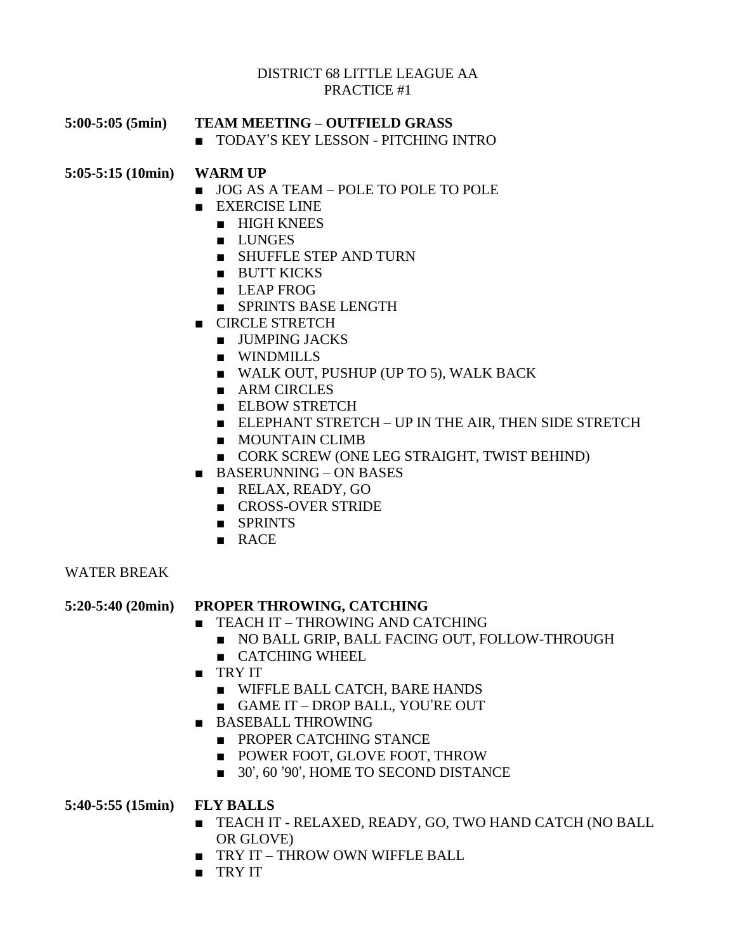#### DISTRICT 68 LITTLE LEAGUE AA PRACTICE #1

**5:00-5:05 (5min) TEAM MEETING – OUTFIELD GRASS**

■ TODAY'S KEY LESSON - PITCHING INTRO

## **5:05-5:15 (10min) WARM UP**

- JOG AS A TEAM POLE TO POLE TO POLE
- EXERCISE LINE
	- HIGH KNEES
	- LUNGES
	- SHUFFLE STEP AND TURN
	- BUTT KICKS
	- LEAP FROG
	- SPRINTS BASE LENGTH
- CIRCLE STRETCH
	- JUMPING JACKS
	- WINDMILLS
	- WALK OUT, PUSHUP (UP TO 5), WALK BACK
	- ARM CIRCLES
	- ELBOW STRETCH
	- ELEPHANT STRETCH UP IN THE AIR, THEN SIDE STRETCH
	- MOUNTAIN CLIMB
	- CORK SCREW (ONE LEG STRAIGHT, TWIST BEHIND)
- BASERUNNING ON BASES
	- RELAX, READY, GO
	- CROSS-OVER STRIDE
	- SPRINTS
	- RACE

#### WATER BREAK

## **5:20-5:40 (20min) PROPER THROWING, CATCHING**

- TEACH IT THROWING AND CATCHING
	- NO BALL GRIP, BALL FACING OUT, FOLLOW-THROUGH
	- CATCHING WHEEL
- TRY IT
	- WIFFLE BALL CATCH, BARE HANDS
	- GAME IT DROP BALL, YOU'RE OUT
- BASEBALL THROWING
	- PROPER CATCHING STANCE
	- POWER FOOT, GLOVE FOOT, THROW
	- 30', 60 '90', HOME TO SECOND DISTANCE

## **5:40-5:55 (15min) FLY BALLS**

- TEACH IT RELAXED, READY, GO, TWO HAND CATCH (NO BALL OR GLOVE)
- TRY IT THROW OWN WIFFLE BALL
- TRY IT